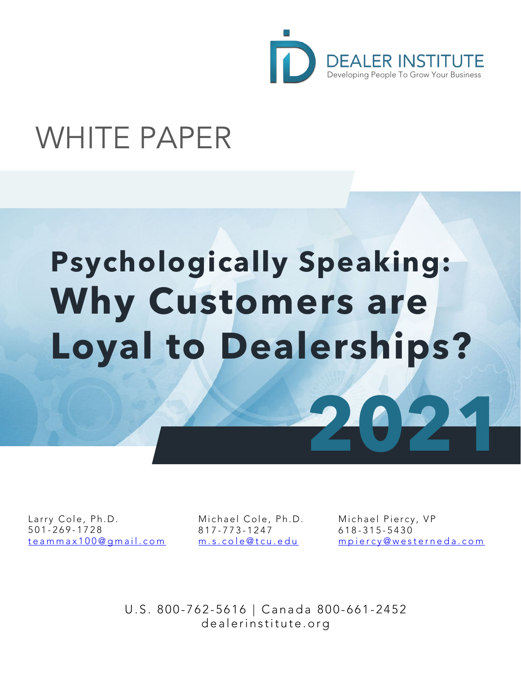

# WHITE PAPER

# **Psychologically Speaking: Why Customers are Loyal to Dealerships?**

Larry Cole, Ph.D. 501 - 269 - 1728 [teammax100@gmail.com](mailto:teammax100@gmail.com)

мпспает Соте,<br>817-773-1247 Michael Cole, Ph.D. [m.s.cole@tcu.edu](mailto:m.s.cole@tcu.edu)

Michael Piercy, VP 618 - 315 - 5430 [mpiercy@westerneda.com](mailto:mpiercy@westerneda.com)

**2021**

U.S. 800-762-5616 | Canada 800-661-2452 dealerinstitute.org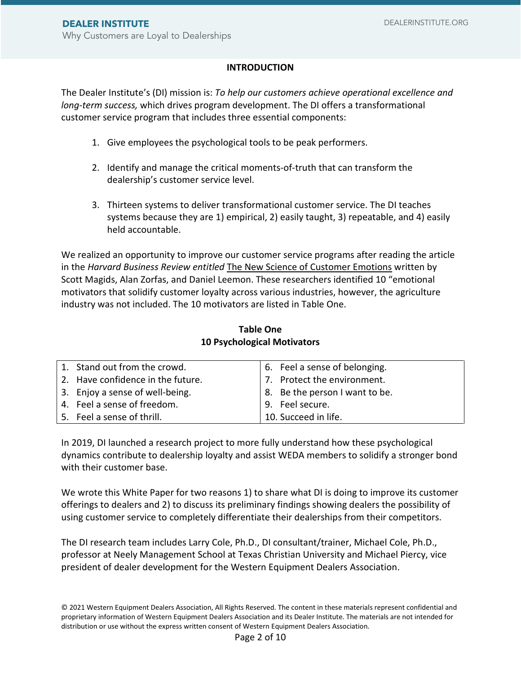# **INTRODUCTION**

The Dealer Institute's (DI) mission is: *To help our customers achieve operational excellence and long-term success,* which drives program development. The DI offers a transformational customer service program that includes three essential components:

- 1. Give employees the psychological tools to be peak performers.
- 2. Identify and manage the critical moments-of-truth that can transform the dealership's customer service level.
- 3. Thirteen systems to deliver transformational customer service. The DI teaches systems because they are 1) empirical, 2) easily taught, 3) repeatable, and 4) easily held accountable.

We realized an opportunity to improve our customer service programs after reading the article in the *Harvard Business Review entitled* The New Science of Customer Emotions written by Scott Magids, Alan Zorfas, and Daniel Leemon. These researchers identified 10 "emotional motivators that solidify customer loyalty across various industries, however, the agriculture industry was not included. The 10 motivators are listed in Table One.

| 1. Stand out from the crowd.      | 6. Feel a sense of belonging.  |
|-----------------------------------|--------------------------------|
| 2. Have confidence in the future. | 7. Protect the environment.    |
| 3. Enjoy a sense of well-being.   | 8. Be the person I want to be. |
| 4. Feel a sense of freedom.       | 9. Feel secure.                |
| 5. Feel a sense of thrill.        | 10. Succeed in life.           |

# **Table One 10 Psychological Motivators**

In 2019, DI launched a research project to more fully understand how these psychological dynamics contribute to dealership loyalty and assist WEDA members to solidify a stronger bond with their customer base.

We wrote this White Paper for two reasons 1) to share what DI is doing to improve its customer offerings to dealers and 2) to discuss its preliminary findings showing dealers the possibility of using customer service to completely differentiate their dealerships from their competitors.

The DI research team includes Larry Cole, Ph.D., DI consultant/trainer, Michael Cole, Ph.D., professor at Neely Management School at Texas Christian University and Michael Piercy, vice president of dealer development for the Western Equipment Dealers Association.

<sup>© 2021</sup> Western Equipment Dealers Association, All Rights Reserved. The content in these materials represent confidential and proprietary information of Western Equipment Dealers Association and its Dealer Institute. The materials are not intended for distribution or use without the express written consent of Western Equipment Dealers Association.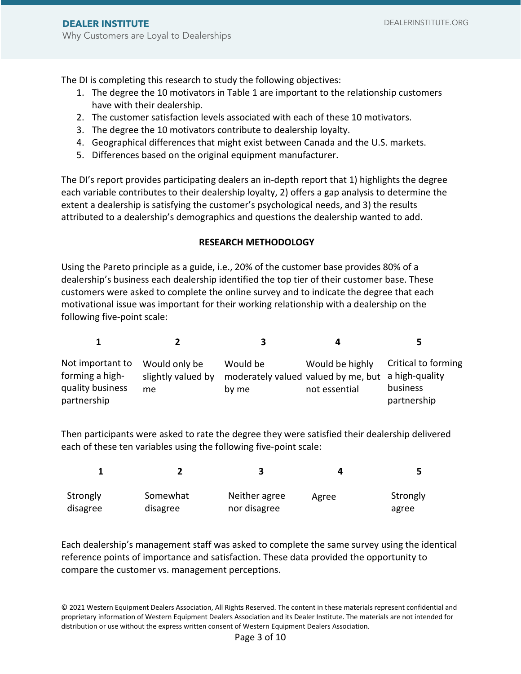The DI is completing this research to study the following objectives:

- 1. The degree the 10 motivators in Table 1 are important to the relationship customers have with their dealership.
- 2. The customer satisfaction levels associated with each of these 10 motivators.
- 3. The degree the 10 motivators contribute to dealership loyalty.
- 4. Geographical differences that might exist between Canada and the U.S. markets.
- 5. Differences based on the original equipment manufacturer.

The DI's report provides participating dealers an in-depth report that 1) highlights the degree each variable contributes to their dealership loyalty, 2) offers a gap analysis to determine the extent a dealership is satisfying the customer's psychological needs, and 3) the results attributed to a dealership's demographics and questions the dealership wanted to add.

#### **RESEARCH METHODOLOGY**

Using the Pareto principle as a guide, i.e., 20% of the customer base provides 80% of a dealership's business each dealership identified the top tier of their customer base. These customers were asked to complete the online survey and to indicate the degree that each motivational issue was important for their working relationship with a dealership on the following five-point scale:

| Not important to<br>forming a high-<br>quality business<br>partnership | Would only be<br>slightly valued by<br>me | Would be<br>moderately valued valued by me, but<br>by me | Would be highly<br>not essential | Critical to forming<br>a high-quality<br>business<br>partnership |
|------------------------------------------------------------------------|-------------------------------------------|----------------------------------------------------------|----------------------------------|------------------------------------------------------------------|

Then participants were asked to rate the degree they were satisfied their dealership delivered each of these ten variables using the following five-point scale:

|          |          |               | ┚     |          |
|----------|----------|---------------|-------|----------|
| Strongly | Somewhat | Neither agree | Agree | Strongly |
| disagree | disagree | nor disagree  |       | agree    |

Each dealership's management staff was asked to complete the same survey using the identical reference points of importance and satisfaction. These data provided the opportunity to compare the customer vs. management perceptions.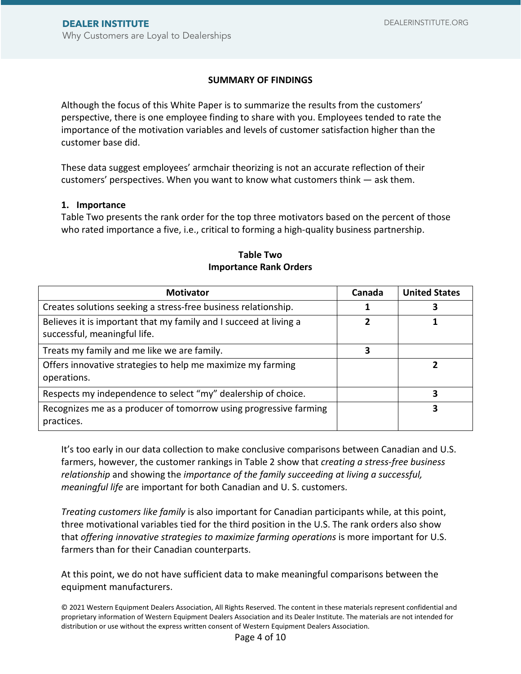# **SUMMARY OF FINDINGS**

Although the focus of this White Paper is to summarize the results from the customers' perspective, there is one employee finding to share with you. Employees tended to rate the importance of the motivation variables and levels of customer satisfaction higher than the customer base did.

These data suggest employees' armchair theorizing is not an accurate reflection of their customers' perspectives. When you want to know what customers think — ask them.

#### **1. Importance**

Table Two presents the rank order for the top three motivators based on the percent of those who rated importance a five, i.e., critical to forming a high-quality business partnership.

| <b>Motivator</b>                                                                                  | Canada | <b>United States</b> |
|---------------------------------------------------------------------------------------------------|--------|----------------------|
| Creates solutions seeking a stress-free business relationship.                                    |        |                      |
| Believes it is important that my family and I succeed at living a<br>successful, meaningful life. | 2      |                      |
| Treats my family and me like we are family.                                                       | 3      |                      |
| Offers innovative strategies to help me maximize my farming<br>operations.                        |        |                      |
| Respects my independence to select "my" dealership of choice.                                     |        |                      |
| Recognizes me as a producer of tomorrow using progressive farming<br>practices.                   |        | 3                    |

# **Table Two Importance Rank Orders**

It's too early in our data collection to make conclusive comparisons between Canadian and U.S. farmers, however, the customer rankings in Table 2 show that *creating a stress-free business relationship* and showing the *importance of the family succeeding at living a successful, meaningful life* are important for both Canadian and U. S. customers.

*Treating customers like family* is also important for Canadian participants while, at this point, three motivational variables tied for the third position in the U.S. The rank orders also show that *offering innovative strategies to maximize farming operations* is more important for U.S. farmers than for their Canadian counterparts.

At this point, we do not have sufficient data to make meaningful comparisons between the equipment manufacturers.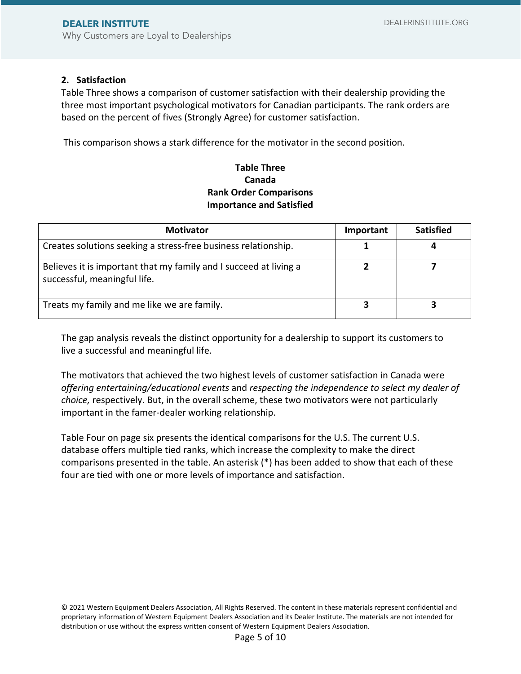#### **2. Satisfaction**

Table Three shows a comparison of customer satisfaction with their dealership providing the three most important psychological motivators for Canadian participants. The rank orders are based on the percent of fives (Strongly Agree) for customer satisfaction.

This comparison shows a stark difference for the motivator in the second position.

# **Table Three Canada Rank Order Comparisons Importance and Satisfied**

| <b>Motivator</b>                                                                                  | Important | <b>Satisfied</b> |
|---------------------------------------------------------------------------------------------------|-----------|------------------|
| Creates solutions seeking a stress-free business relationship.                                    |           |                  |
| Believes it is important that my family and I succeed at living a<br>successful, meaningful life. |           |                  |
| Treats my family and me like we are family.                                                       |           |                  |

The gap analysis reveals the distinct opportunity for a dealership to support its customers to live a successful and meaningful life.

The motivators that achieved the two highest levels of customer satisfaction in Canada were *offering entertaining/educational events* and *respecting the independence to select my dealer of choice,* respectively. But, in the overall scheme, these two motivators were not particularly important in the famer-dealer working relationship.

Table Four on page six presents the identical comparisons for the U.S. The current U.S. database offers multiple tied ranks, which increase the complexity to make the direct comparisons presented in the table. An asterisk (\*) has been added to show that each of these four are tied with one or more levels of importance and satisfaction.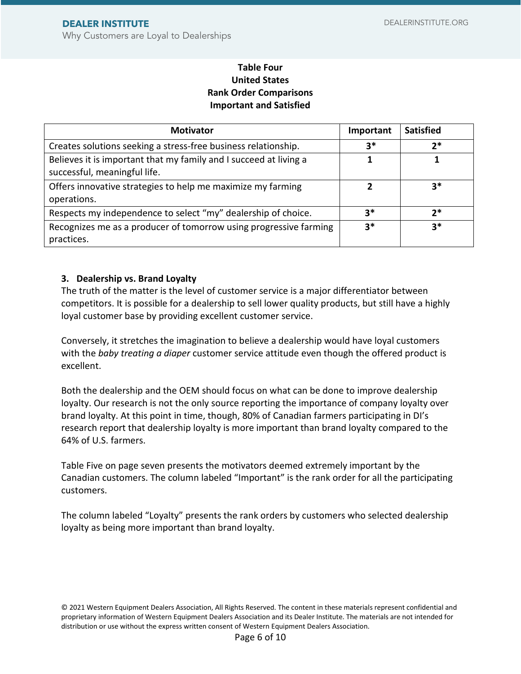# **Table Four United States Rank Order Comparisons Important and Satisfied**

| <b>Motivator</b>                                                                                  | Important | <b>Satisfied</b> |
|---------------------------------------------------------------------------------------------------|-----------|------------------|
| Creates solutions seeking a stress-free business relationship.                                    | $3*$      | $2*$             |
| Believes it is important that my family and I succeed at living a<br>successful, meaningful life. |           |                  |
| Offers innovative strategies to help me maximize my farming<br>operations.                        | 2         | $3*$             |
| Respects my independence to select "my" dealership of choice.                                     | $3*$      | $2*$             |
| Recognizes me as a producer of tomorrow using progressive farming<br>practices.                   | $3*$      | $3*$             |

# **3. Dealership vs. Brand Loyalty**

The truth of the matter is the level of customer service is a major differentiator between competitors. It is possible for a dealership to sell lower quality products, but still have a highly loyal customer base by providing excellent customer service.

Conversely, it stretches the imagination to believe a dealership would have loyal customers with the *baby treating a diaper* customer service attitude even though the offered product is excellent.

Both the dealership and the OEM should focus on what can be done to improve dealership loyalty. Our research is not the only source reporting the importance of company loyalty over brand loyalty. At this point in time, though, 80% of Canadian farmers participating in DI's research report that dealership loyalty is more important than brand loyalty compared to the 64% of U.S. farmers.

Table Five on page seven presents the motivators deemed extremely important by the Canadian customers. The column labeled "Important" is the rank order for all the participating customers.

The column labeled "Loyalty" presents the rank orders by customers who selected dealership loyalty as being more important than brand loyalty.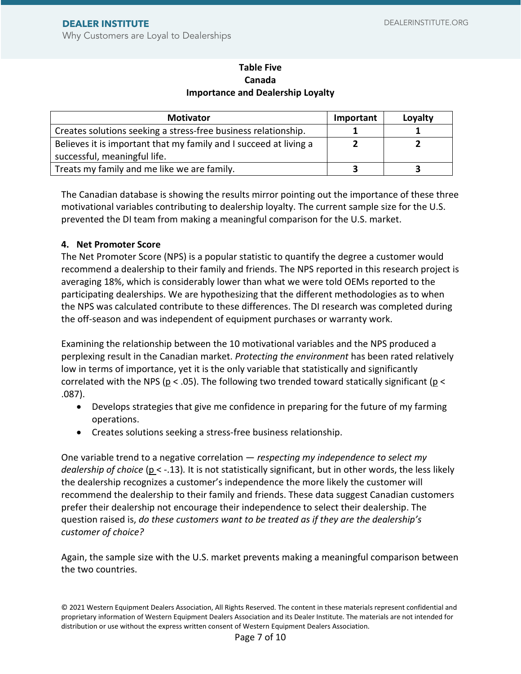Why Customers are Loyal to Dealerships

# **Table Five Canada Importance and Dealership Loyalty**

| <b>Motivator</b>                                                  | Important | Loyalty |
|-------------------------------------------------------------------|-----------|---------|
| Creates solutions seeking a stress-free business relationship.    |           |         |
| Believes it is important that my family and I succeed at living a |           |         |
| successful, meaningful life.                                      |           |         |
| Treats my family and me like we are family.                       |           |         |

The Canadian database is showing the results mirror pointing out the importance of these three motivational variables contributing to dealership loyalty. The current sample size for the U.S. prevented the DI team from making a meaningful comparison for the U.S. market.

# **4. Net Promoter Score**

The Net Promoter Score (NPS) is a popular statistic to quantify the degree a customer would recommend a dealership to their family and friends. The NPS reported in this research project is averaging 18%, which is considerably lower than what we were told OEMs reported to the participating dealerships. We are hypothesizing that the different methodologies as to when the NPS was calculated contribute to these differences. The DI research was completed during the off-season and was independent of equipment purchases or warranty work.

Examining the relationship between the 10 motivational variables and the NPS produced a perplexing result in the Canadian market. *Protecting the environment* has been rated relatively low in terms of importance, yet it is the only variable that statistically and significantly correlated with the NPS ( $p < .05$ ). The following two trended toward statically significant ( $p <$ .087).

- Develops strategies that give me confidence in preparing for the future of my farming operations.
- Creates solutions seeking a stress-free business relationship.

One variable trend to a negative correlation — *respecting my independence to select my dealership of choice* (p < -.13)*.* It is not statistically significant, but in other words, the less likely the dealership recognizes a customer's independence the more likely the customer will recommend the dealership to their family and friends. These data suggest Canadian customers prefer their dealership not encourage their independence to select their dealership. The question raised is, *do these customers want to be treated as if they are the dealership's customer of choice?*

Again, the sample size with the U.S. market prevents making a meaningful comparison between the two countries.

<sup>© 2021</sup> Western Equipment Dealers Association, All Rights Reserved. The content in these materials represent confidential and proprietary information of Western Equipment Dealers Association and its Dealer Institute. The materials are not intended for distribution or use without the express written consent of Western Equipment Dealers Association.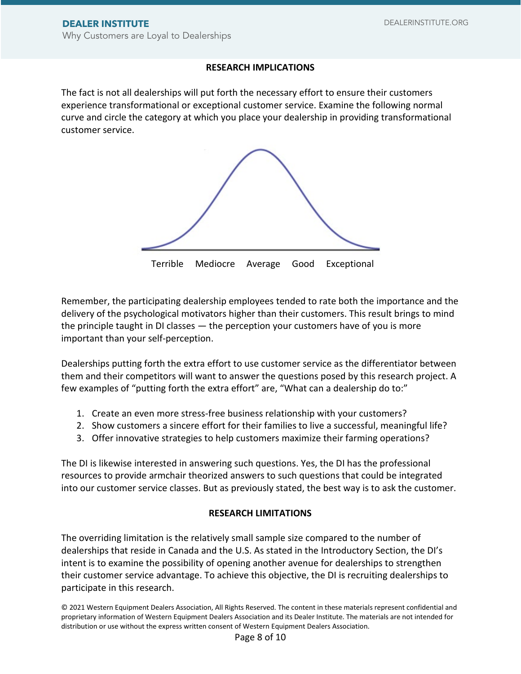## **RESEARCH IMPLICATIONS**

The fact is not all dealerships will put forth the necessary effort to ensure their customers experience transformational or exceptional customer service. Examine the following normal curve and circle the category at which you place your dealership in providing transformational customer service.



Remember, the participating dealership employees tended to rate both the importance and the delivery of the psychological motivators higher than their customers. This result brings to mind the principle taught in DI classes — the perception your customers have of you is more important than your self-perception.

Dealerships putting forth the extra effort to use customer service as the differentiator between them and their competitors will want to answer the questions posed by this research project. A few examples of "putting forth the extra effort" are, "What can a dealership do to:"

- 1. Create an even more stress-free business relationship with your customers?
- 2. Show customers a sincere effort for their families to live a successful, meaningful life?
- 3. Offer innovative strategies to help customers maximize their farming operations?

The DI is likewise interested in answering such questions. Yes, the DI has the professional resources to provide armchair theorized answers to such questions that could be integrated into our customer service classes. But as previously stated, the best way is to ask the customer.

#### **RESEARCH LIMITATIONS**

The overriding limitation is the relatively small sample size compared to the number of dealerships that reside in Canada and the U.S. As stated in the Introductory Section, the DI's intent is to examine the possibility of opening another avenue for dealerships to strengthen their customer service advantage. To achieve this objective, the DI is recruiting dealerships to participate in this research.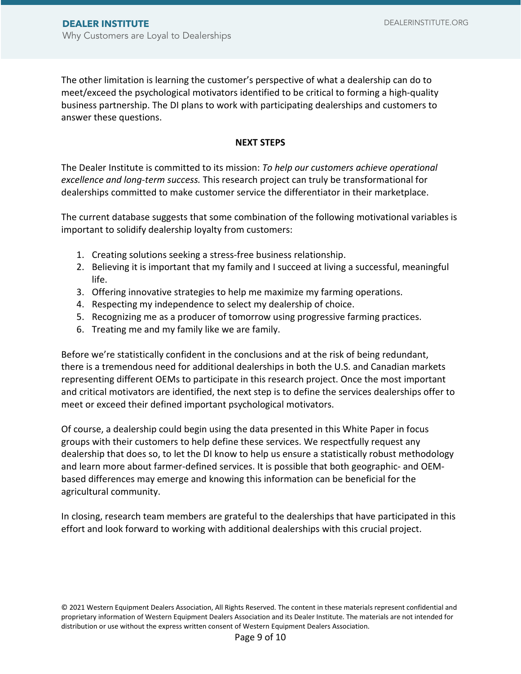The other limitation is learning the customer's perspective of what a dealership can do to meet/exceed the psychological motivators identified to be critical to forming a high-quality business partnership. The DI plans to work with participating dealerships and customers to answer these questions.

#### **NEXT STEPS**

The Dealer Institute is committed to its mission: *To help our customers achieve operational excellence and long-term success.* This research project can truly be transformational for dealerships committed to make customer service the differentiator in their marketplace.

The current database suggests that some combination of the following motivational variables is important to solidify dealership loyalty from customers:

- 1. Creating solutions seeking a stress-free business relationship.
- 2. Believing it is important that my family and I succeed at living a successful, meaningful life.
- 3. Offering innovative strategies to help me maximize my farming operations.
- 4. Respecting my independence to select my dealership of choice.
- 5. Recognizing me as a producer of tomorrow using progressive farming practices.
- 6. Treating me and my family like we are family.

Before we're statistically confident in the conclusions and at the risk of being redundant, there is a tremendous need for additional dealerships in both the U.S. and Canadian markets representing different OEMs to participate in this research project. Once the most important and critical motivators are identified, the next step is to define the services dealerships offer to meet or exceed their defined important psychological motivators.

Of course, a dealership could begin using the data presented in this White Paper in focus groups with their customers to help define these services. We respectfully request any dealership that does so, to let the DI know to help us ensure a statistically robust methodology and learn more about farmer-defined services. It is possible that both geographic- and OEMbased differences may emerge and knowing this information can be beneficial for the agricultural community.

In closing, research team members are grateful to the dealerships that have participated in this effort and look forward to working with additional dealerships with this crucial project.